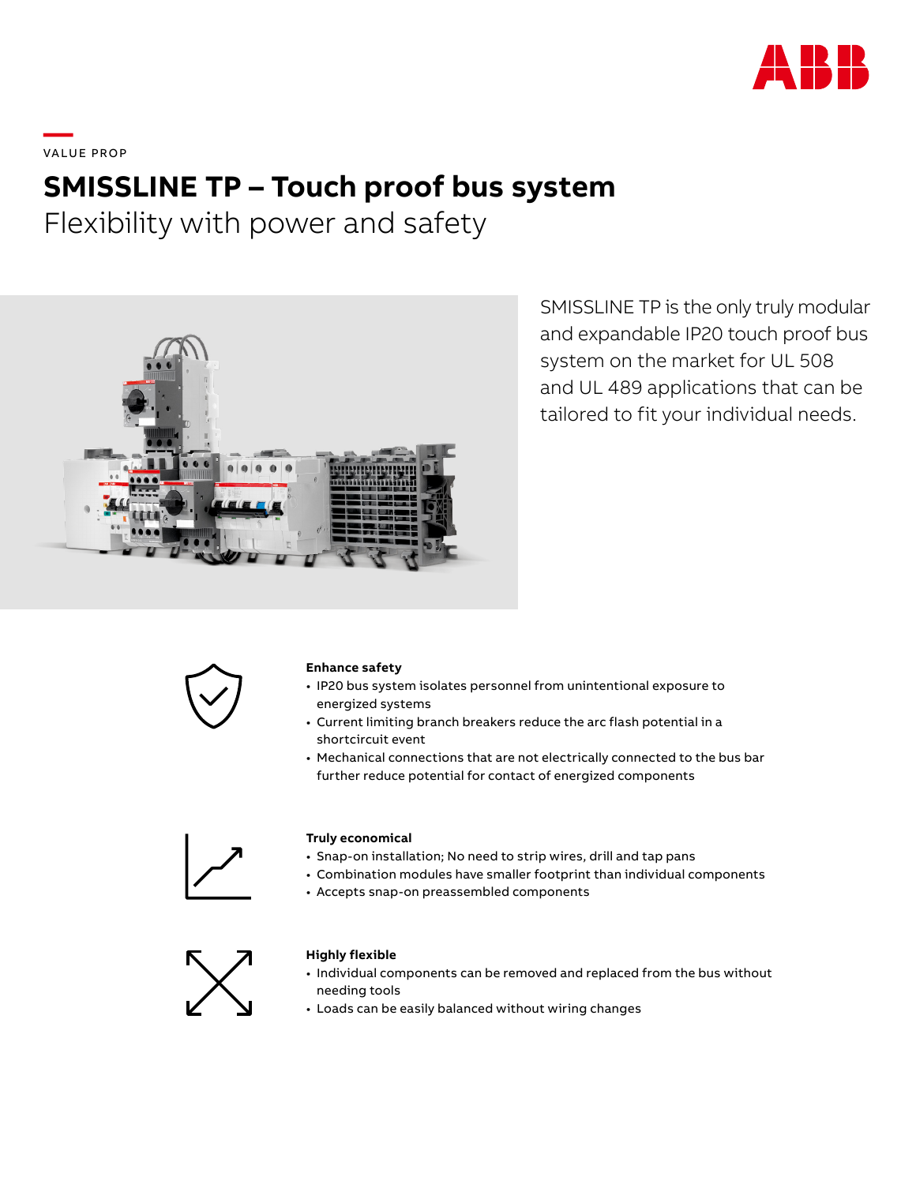

# **—**  VA LU E PRO P

# **SMISSLINE TP – Touch proof bus system**

Flexibility with power and safety



SMISSLINE TP is the only truly modular and expandable IP20 touch proof bus system on the market for UL 508 and UL 489 applications that can be tailored to fit your individual needs.



#### **Enhance safety**

- IP20 bus system isolates personnel from unintentional exposure to energized systems
- Current limiting branch breakers reduce the arc flash potential in a shortcircuit event
- Mechanical connections that are not electrically connected to the bus bar further reduce potential for contact of energized components



## **Truly economical**

- Snap-on installation; No need to strip wires, drill and tap pans
- Combination modules have smaller footprint than individual components
- Accepts snap-on preassembled components



### **Highly flexible**

- Individual components can be removed and replaced from the bus without needing tools
- Loads can be easily balanced without wiring changes